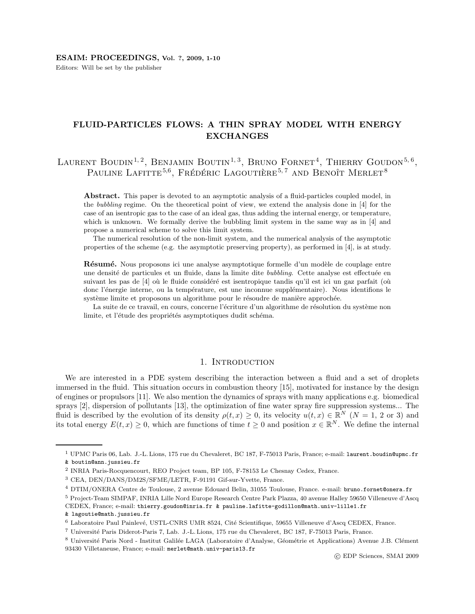Editors: Will be set by the publisher

# FLUID-PARTICLES FLOWS: A THIN SPRAY MODEL WITH ENERGY EXCHANGES

LAURENT BOUDIN<sup>1,2</sup>, BENJAMIN BOUTIN<sup>1,3</sup>, BRUNO FORNET<sup>4</sup>, THIERRY GOUDON<sup>5,6</sup>, PAULINE LAFITTE<sup>5,6</sup>, FRÉDÉRIC LAGOUTIÈRE<sup>5,7</sup> AND BENOÎT MERLET<sup>8</sup>

Abstract. This paper is devoted to an asymptotic analysis of a fluid-particles coupled model, in the bubbling regime. On the theoretical point of view, we extend the analysis done in [4] for the case of an isentropic gas to the case of an ideal gas, thus adding the internal energy, or temperature, which is unknown. We formally derive the bubbling limit system in the same way as in [4] and propose a numerical scheme to solve this limit system.

The numerical resolution of the non-limit system, and the numerical analysis of the asymptotic properties of the scheme (e.g. the asymptotic preserving property), as performed in [4], is at study.

Résumé. Nous proposons ici une analyse asymptotique formelle d'un modèle de couplage entre une densité de particules et un fluide, dans la limite dite bubbling. Cette analyse est effectuée en suivant les pas de [4] où le fluide considéré est isentropique tandis qu'il est ici un gaz parfait (où donc l'énergie interne, ou la température, est une inconnue supplémentaire). Nous identifions le système limite et proposons un algorithme pour le résoudre de manière approchée.

La suite de ce travail, en cours, concerne l'écriture d'un algorithme de résolution du système non limite, et l'étude des propriétés asymptotiques dudit schéma.

### 1. INTRODUCTION

We are interested in a PDE system describing the interaction between a fluid and a set of droplets immersed in the fluid. This situation occurs in combustion theory [15], motivated for instance by the design of engines or propulsors [11]. We also mention the dynamics of sprays with many applications e.g. biomedical sprays [2], dispersion of pollutants [13], the optimization of fine water spray fire suppression systems... The fluid is described by the evolution of its density  $\rho(t,x) \geq 0$ , its velocity  $u(t,x) \in \mathbb{R}^N$   $(N = 1, 2 \text{ or } 3)$  and its total energy  $E(t, x) \geq 0$ , which are functions of time  $t \geq 0$  and position  $x \in \mathbb{R}^N$ . We define the internal

<sup>1</sup> UPMC Paris 06, Lab. J.-L. Lions, 175 rue du Chevaleret, BC 187, F-75013 Paris, France; e-mail: laurent.boudin@upmc.fr & boutin@ann.jussieu.fr

<sup>2</sup> INRIA Paris-Rocquencourt, REO Project team, BP 105, F-78153 Le Chesnay Cedex, France.

<sup>3</sup> CEA, DEN/DANS/DM2S/SFME/LETR, F-91191 Gif-sur-Yvette, France.

<sup>4</sup> DTIM/ONERA Centre de Toulouse, 2 avenue Edouard Belin, 31055 Toulouse, France. e-mail: bruno.fornet@onera.fr

<sup>5</sup> Project-Team SIMPAF, INRIA Lille Nord Europe Research Centre Park Plazza, 40 avenue Halley 59650 Villeneuve d'Ascq CEDEX, France; e-mail: thierry.goudon@inria.fr & pauline.lafitte-godillon@math.univ-lille1.fr

<sup>&</sup>amp; lagoutie@math.jussieu.fr

<sup>6</sup> Laboratoire Paul Painlevé, USTL-CNRS UMR 8524, Cité Scientifique, 59655 Villeneuve d'Ascq CEDEX, France.

<sup>7</sup> Universit´e Paris Diderot-Paris 7, Lab. J.-L. Lions, 175 rue du Chevaleret, BC 187, F-75013 Paris, France.

<sup>&</sup>lt;sup>8</sup> Université Paris Nord - Institut Galilée LAGA (Laboratoire d'Analyse, Géométrie et Applications) Avenue J.B. Clément 93430 Villetaneuse, France; e-mail: merlet@math.univ-paris13.fr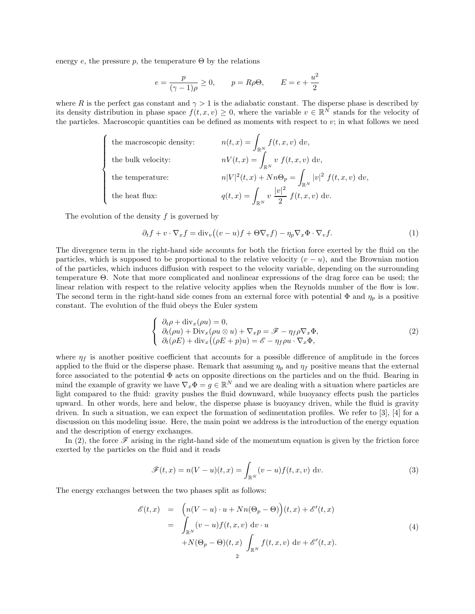energy e, the pressure p, the temperature  $\Theta$  by the relations

$$
e = \frac{p}{(\gamma - 1)\rho} \ge 0, \qquad p = R\rho\Theta, \qquad E = e + \frac{u^2}{2}
$$

where R is the perfect gas constant and  $\gamma > 1$  is the adiabatic constant. The disperse phase is described by its density distribution in phase space  $f(t, x, v) \geq 0$ , where the variable  $v \in \mathbb{R}^N$  stands for the velocity of the particles. Macroscopic quantities can be defined as moments with respect to  $v$ ; in what follows we need

| the macroscopic density: | $n(t,x) = \int_{\mathbb{R}^N} f(t,x,v) dv,$                         |
|--------------------------|---------------------------------------------------------------------|
| the bulk velocity:       | $nV(t,x) = \int_{\mathbb{R}^N} v f(t,x,v) dv,$                      |
| the temperature:         | $n V ^2(t,x) + Nn\Theta_p = \int_{\mathbb{R}^N}  v ^2 f(t,x,v) dv,$ |
| the heat flux:           | $q(t,x) = \int_{\mathbb{R}^N} v \frac{ v ^2}{2} f(t,x,v) dv.$       |

The evolution of the density  $f$  is governed by

$$
\partial_t f + v \cdot \nabla_x f = \text{div}_v \big( (v - u)f + \Theta \nabla_v f \big) - \eta_p \nabla_x \Phi \cdot \nabla_v f. \tag{1}
$$

The divergence term in the right-hand side accounts for both the friction force exerted by the fluid on the particles, which is supposed to be proportional to the relative velocity  $(v - u)$ , and the Brownian motion of the particles, which induces diffusion with respect to the velocity variable, depending on the surrounding temperature Θ. Note that more complicated and nonlinear expressions of the drag force can be used; the linear relation with respect to the relative velocity applies when the Reynolds number of the flow is low. The second term in the right-hand side comes from an external force with potential  $\Phi$  and  $\eta_p$  is a positive constant. The evolution of the fluid obeys the Euler system

$$
\begin{cases}\n\partial_t \rho + \text{div}_x(\rho u) = 0, \\
\partial_t(\rho u) + \text{Div}_x(\rho u \otimes u) + \nabla_x p = \mathscr{F} - \eta_f \rho \nabla_x \Phi, \\
\partial_t(\rho E) + \text{div}_x((\rho E + p)u) = \mathscr{E} - \eta_f \rho u \cdot \nabla_x \Phi,\n\end{cases}
$$
\n(2)

where  $\eta_f$  is another positive coefficient that accounts for a possible difference of amplitude in the forces applied to the fluid or the disperse phase. Remark that assuming  $\eta_p$  and  $\eta_f$  positive means that the external force associated to the potential  $\Phi$  acts on opposite directions on the particles and on the fluid. Bearing in mind the example of gravity we have  $\nabla_x \Phi = g \in \mathbb{R}^N$  and we are dealing with a situation where particles are light compared to the fluid: gravity pushes the fluid downward, while buoyancy effects push the particles upward. In other words, here and below, the disperse phase is buoyancy driven, while the fluid is gravity driven. In such a situation, we can expect the formation of sedimentation profiles. We refer to [3], [4] for a discussion on this modeling issue. Here, the main point we address is the introduction of the energy equation and the description of energy exchanges.

In (2), the force  $\mathscr F$  arising in the right-hand side of the momentum equation is given by the friction force exerted by the particles on the fluid and it reads

$$
\mathscr{F}(t,x) = n(V-u)(t,x) = \int_{\mathbb{R}^N} (v-u)f(t,x,v) \, \mathrm{d}v. \tag{3}
$$

The energy exchanges between the two phases split as follows:

$$
\mathcal{E}(t,x) = \left( n(V-u) \cdot u + Nn(\Theta_p - \Theta) \right)(t,x) + \mathcal{E}'(t,x)
$$
  
\n
$$
= \int_{\mathbb{R}^N} (v-u) f(t,x,v) dv \cdot u
$$
  
\n
$$
+ N(\Theta_p - \Theta)(t,x) \int_{\mathbb{R}^N} f(t,x,v) dv + \mathcal{E}'(t,x).
$$
\n(4)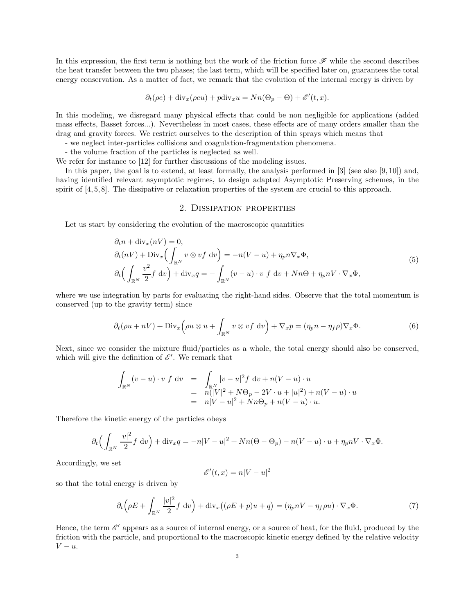In this expression, the first term is nothing but the work of the friction force  $\mathscr F$  while the second describes the heat transfer between the two phases; the last term, which will be specified later on, guarantees the total energy conservation. As a matter of fact, we remark that the evolution of the internal energy is driven by

$$
\partial_t(\rho e) + \text{div}_x(\rho e u) + p \text{div}_x u = Nn(\Theta_p - \Theta) + \mathscr{E}'(t, x).
$$

In this modeling, we disregard many physical effects that could be non negligible for applications (added mass effects, Basset forces...). Nevertheless in most cases, these effects are of many orders smaller than the drag and gravity forces. We restrict ourselves to the description of thin sprays which means that

- we neglect inter-particles collisions and coagulation-fragmentation phenomena.

- the volume fraction of the particles is neglected as well.

We refer for instance to [12] for further discussions of the modeling issues.

In this paper, the goal is to extend, at least formally, the analysis performed in [3] (see also [9, 10]) and, having identified relevant asymptotic regimes, to design adapted Asymptotic Preserving schemes, in the spirit of [4, 5, 8]. The dissipative or relaxation properties of the system are crucial to this approach.

### 2. Dissipation properties

Let us start by considering the evolution of the macroscopic quantities

$$
\partial_t n + \text{div}_x(nV) = 0,
$$
  
\n
$$
\partial_t (nV) + \text{Div}_x \left( \int_{\mathbb{R}^N} v \otimes v f \, dv \right) = -n(V - u) + \eta_p n \nabla_x \Phi,
$$
  
\n
$$
\partial_t \left( \int_{\mathbb{R}^N} \frac{v^2}{2} f \, dv \right) + \text{div}_x q = - \int_{\mathbb{R}^N} (v - u) \cdot v f \, dv + Nn\Theta + \eta_p nV \cdot \nabla_x \Phi,
$$
\n(5)

where we use integration by parts for evaluating the right-hand sides. Observe that the total momentum is conserved (up to the gravity term) since

$$
\partial_t (\rho u + nV) + \text{Div}_x \left( \rho u \otimes u + \int_{\mathbb{R}^N} v \otimes v f \ dv \right) + \nabla_x p = (\eta_p n - \eta_f \rho) \nabla_x \Phi. \tag{6}
$$

Next, since we consider the mixture fluid/particles as a whole, the total energy should also be conserved, which will give the definition of  $\mathscr{E}'$ . We remark that

$$
\int_{\mathbb{R}^N} (v - u) \cdot v f dv = \int_{\mathbb{R}^N} |v - u|^2 f dv + n(V - u) \cdot u
$$
  
=  $n(|V|^2 + N\Theta_p - 2V \cdot u + |u|^2) + n(V - u) \cdot u$   
=  $n|V - u|^2 + Nn\Theta_p + n(V - u) \cdot u$ .

Therefore the kinetic energy of the particles obeys

$$
\partial_t \Big(\int_{\mathbb{R}^N} \frac{|v|^2}{2} f \, \mathrm{d}v \Big) + \mathrm{div}_x q = -n|V - u|^2 + Nn(\Theta - \Theta_p) - n(V - u) \cdot u + \eta_p nV \cdot \nabla_x \Phi.
$$

Accordingly, we set

$$
\mathscr{E}'(t,x) = n|V - u|^2
$$

so that the total energy is driven by

$$
\partial_t \left( \rho E + \int_{\mathbb{R}^N} \frac{|v|^2}{2} f \, dv \right) + \text{div}_x \left( (\rho E + p) u + q \right) = (\eta_p n V - \eta_f \rho u) \cdot \nabla_x \Phi. \tag{7}
$$

Hence, the term  $\mathscr{E}'$  appears as a source of internal energy, or a source of heat, for the fluid, produced by the friction with the particle, and proportional to the macroscopic kinetic energy defined by the relative velocity  $V - u$ .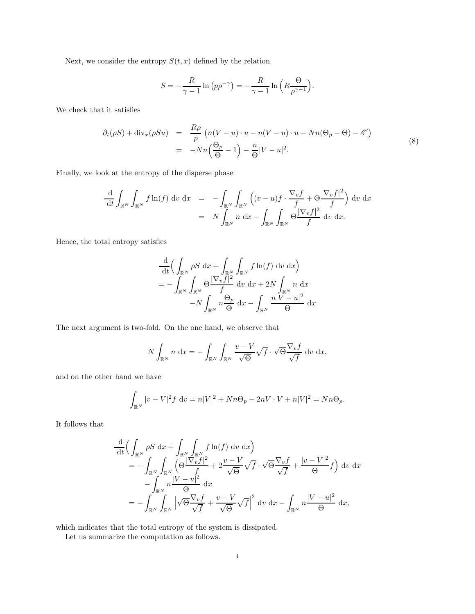Next, we consider the entropy  $S(t, x)$  defined by the relation

$$
S = -\frac{R}{\gamma - 1} \ln (p\rho^{-\gamma}) = -\frac{R}{\gamma - 1} \ln \left( R \frac{\Theta}{\rho^{\gamma - 1}} \right).
$$

We check that it satisfies

$$
\partial_t(\rho S) + \text{div}_x(\rho S u) = \frac{R\rho}{p} \left( n(V - u) \cdot u - n(V - u) \cdot u - Nn(\Theta_p - \Theta) - \mathscr{E}' \right)
$$
  
= 
$$
-Nn\left(\frac{\Theta_p}{\Theta} - 1\right) - \frac{n}{\Theta}|V - u|^2.
$$
 (8)

Finally, we look at the entropy of the disperse phase

$$
\frac{\mathrm{d}}{\mathrm{d}t} \int_{\mathbb{R}^N} \int_{\mathbb{R}^N} f \ln(f) \, \mathrm{d}v \, \mathrm{d}x = - \int_{\mathbb{R}^N} \int_{\mathbb{R}^N} \left( (v - u)f \cdot \frac{\nabla_v f}{f} + \Theta \frac{|\nabla_v f|^2}{f} \right) \, \mathrm{d}v \, \mathrm{d}x \n= N \int_{\mathbb{R}^N} n \, \mathrm{d}x - \int_{\mathbb{R}^N} \int_{\mathbb{R}^N} \Theta \frac{|\nabla_v f|^2}{f} \, \mathrm{d}v \, \mathrm{d}x.
$$

Hence, the total entropy satisfies

$$
\frac{\mathrm{d}}{\mathrm{d}t} \Big( \int_{\mathbb{R}^N} \rho S \, \mathrm{d}x + \int_{\mathbb{R}^N} \int_{\mathbb{R}^N} f \ln(f) \, \mathrm{d}v \, \mathrm{d}x \Big) \n= - \int_{\mathbb{R}^N} \int_{\mathbb{R}^N} \Theta \frac{|\nabla_v f|^2}{f} \, \mathrm{d}v \, \mathrm{d}x + 2N \int_{\mathbb{R}^N} n \, \mathrm{d}x \n- N \int_{\mathbb{R}^N} n \frac{\Theta_p}{\Theta} \, \mathrm{d}x - \int_{\mathbb{R}^N} \frac{n|V - u|^2}{\Theta} \, \mathrm{d}x
$$

The next argument is two-fold. On the one hand, we observe that

$$
N\int_{\mathbb{R}^N} n \, dx = -\int_{\mathbb{R}^N} \int_{\mathbb{R}^N} \frac{v - V}{\sqrt{\Theta}} \sqrt{f} \cdot \sqrt{\Theta} \frac{\nabla_v f}{\sqrt{f}} \, dv \, dx,
$$

and on the other hand we have

$$
\int_{\mathbb{R}^N} |v - V|^2 f \, \mathrm{d}v = n|V|^2 + Nn\Theta_p - 2nV \cdot V + n|V|^2 = Nn\Theta_p.
$$

It follows that

$$
\frac{\mathrm{d}}{\mathrm{d}t} \Big( \int_{\mathbb{R}^N} \rho S \, \mathrm{d}x + \int_{\mathbb{R}^N} \int_{\mathbb{R}^N} f \ln(f) \, \mathrm{d}v \, \mathrm{d}x \Big) \n= - \int_{\mathbb{R}^N} \int_{\mathbb{R}^N} \Big( \Theta \frac{|\nabla_v f|^2}{f} + 2 \frac{v - V}{\sqrt{\Theta}} \sqrt{f} \cdot \sqrt{\Theta} \frac{\nabla_v f}{\sqrt{f}} + \frac{|v - V|^2}{\Theta} f \Big) \, \mathrm{d}v \, \mathrm{d}x \n- \int_{\mathbb{R}^N} n \frac{|V - u|^2}{\Theta} \, \mathrm{d}x \n= - \int_{\mathbb{R}^N} \int_{\mathbb{R}^N} \Big| \sqrt{\Theta} \frac{\nabla_v f}{\sqrt{f}} + \frac{v - V}{\sqrt{\Theta}} \sqrt{f} \Big|^2 \, \mathrm{d}v \, \mathrm{d}x - \int_{\mathbb{R}^N} n \frac{|V - u|^2}{\Theta} \, \mathrm{d}x,
$$

which indicates that the total entropy of the system is dissipated.

Let us summarize the computation as follows.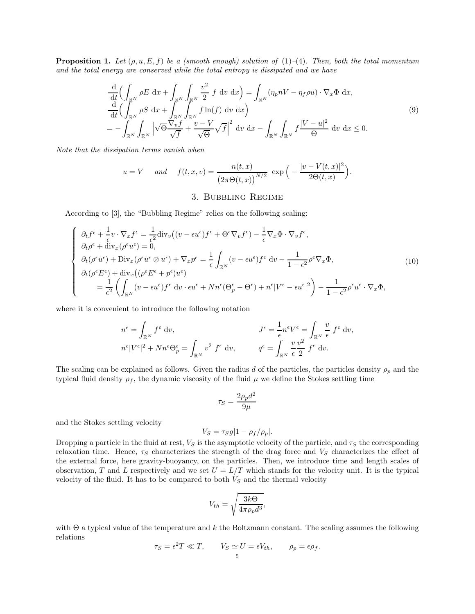**Proposition 1.** Let  $(\rho, u, E, f)$  be a (smooth enough) solution of (1)–(4). Then, both the total momentum and the total energy are conserved while the total entropy is dissipated and we have

$$
\frac{\mathrm{d}}{\mathrm{d}t} \Big( \int_{\mathbb{R}^N} \rho E \, \mathrm{d}x + \int_{\mathbb{R}^N} \int_{\mathbb{R}^N} \frac{v^2}{2} f \, \mathrm{d}v \, \mathrm{d}x \Big) = \int_{\mathbb{R}^N} (\eta_p n V - \eta_f \rho u) \cdot \nabla_x \Phi \, \mathrm{d}x, \n\frac{\mathrm{d}}{\mathrm{d}t} \Big( \int_{\mathbb{R}^N} \rho S \, \mathrm{d}x + \int_{\mathbb{R}^N} \int_{\mathbb{R}^N} f \ln(f) \, \mathrm{d}v \, \mathrm{d}x \Big) \n= - \int_{\mathbb{R}^N} \int_{\mathbb{R}^N} \left| \sqrt{\Theta} \frac{\nabla_v f}{\sqrt{f}} + \frac{v - V}{\sqrt{\Theta}} \sqrt{f} \right|^2 \, \mathrm{d}v \, \mathrm{d}x - \int_{\mathbb{R}^N} \int_{\mathbb{R}^N} f \frac{|V - u|^2}{\Theta} \, \mathrm{d}v \, \mathrm{d}x \le 0.
$$
\n(9)

Note that the dissipation terms vanish when

$$
u = V
$$
 and  $f(t, x, v) = \frac{n(t, x)}{(2\pi \Theta(t, x))^{N/2}} \exp\left(-\frac{|v - V(t, x)|^2}{2\Theta(t, x)}\right).$ 

# 3. Bubbling Regime

According to [3], the "Bubbling Regime" relies on the following scaling:

$$
\begin{cases}\n\partial_t f^{\epsilon} + \frac{1}{\epsilon} v \cdot \nabla_x f^{\epsilon} = \frac{1}{\epsilon^2} \text{div}_v \left( (v - \epsilon u^{\epsilon}) f^{\epsilon} + \Theta^{\epsilon} \nabla_v f^{\epsilon} \right) - \frac{1}{\epsilon} \nabla_x \Phi \cdot \nabla_v f^{\epsilon}, \\
\partial_t \rho^{\epsilon} + \text{div}_x (\rho^{\epsilon} u^{\epsilon}) = 0, \\
\partial_t (\rho^{\epsilon} u^{\epsilon}) + \text{Div}_x (\rho^{\epsilon} u^{\epsilon} \otimes u^{\epsilon}) + \nabla_x p^{\epsilon} = \frac{1}{\epsilon} \int_{\mathbb{R}^N} (v - \epsilon u^{\epsilon}) f^{\epsilon} dv - \frac{1}{1 - \epsilon^2} \rho^{\epsilon} \nabla_x \Phi, \\
\partial_t (\rho^{\epsilon} E^{\epsilon}) + \text{div}_x ((\rho^{\epsilon} E^{\epsilon} + p^{\epsilon}) u^{\epsilon}) \\
= \frac{1}{\epsilon^2} \left( \int_{\mathbb{R}^N} (v - \epsilon u^{\epsilon}) f^{\epsilon} dv \cdot \epsilon u^{\epsilon} + N n^{\epsilon} (\Theta_p^{\epsilon} - \Theta^{\epsilon}) + n^{\epsilon} |V^{\epsilon} - \epsilon u^{\epsilon}|^2 \right) - \frac{1}{1 - \epsilon^2} \rho^{\epsilon} u^{\epsilon} \cdot \nabla_x \Phi,\n\end{cases} \tag{10}
$$

where it is convenient to introduce the following notation

$$
n^{\epsilon} = \int_{\mathbb{R}^N} f^{\epsilon} dv, \qquad J^{\epsilon} = \frac{1}{\epsilon} n^{\epsilon} V^{\epsilon} = \int_{\mathbb{R}^N} \frac{v}{\epsilon} f^{\epsilon} dv,
$$

$$
n^{\epsilon} |V^{\epsilon}|^2 + N n^{\epsilon} \Theta_p^{\epsilon} = \int_{\mathbb{R}^N} v^2 f^{\epsilon} dv, \qquad q^{\epsilon} = \int_{\mathbb{R}^N} \frac{v}{\epsilon} \frac{v^2}{2} f^{\epsilon} dv.
$$

The scaling can be explained as follows. Given the radius d of the particles, the particles density  $\rho_p$  and the typical fluid density  $\rho_f$ , the dynamic viscosity of the fluid  $\mu$  we define the Stokes settling time

$$
\tau_S = \frac{2\rho_p d^2}{9\mu}
$$

and the Stokes settling velocity

$$
V_S = \tau_S g |1 - \rho_f / \rho_p|.
$$

Dropping a particle in the fluid at rest,  $V_S$  is the asymptotic velocity of the particle, and  $\tau_S$  the corresponding relaxation time. Hence,  $\tau_S$  characterizes the strength of the drag force and  $V_S$  characterizes the effect of the external force, here gravity-buoyancy, on the particles. Then, we introduce time and length scales of observation, T and L respectively and we set  $U = L/T$  which stands for the velocity unit. It is the typical velocity of the fluid. It has to be compared to both  $V_S$  and the thermal velocity

$$
V_{th} = \sqrt{\frac{3k\Theta}{4\pi\rho_p d^3}},
$$

with  $\Theta$  a typical value of the temperature and k the Boltzmann constant. The scaling assumes the following relations

$$
\tau_S = \epsilon^2 T \ll T, \qquad V_S \simeq U = \epsilon V_{th}, \qquad \rho_p = \epsilon \rho_f.
$$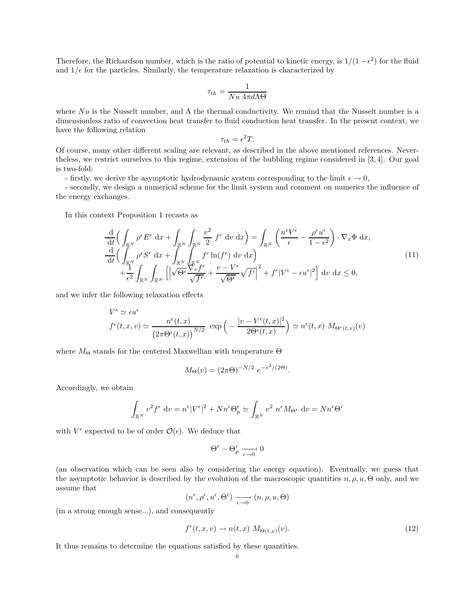Therefore, the Richardson number, which is the ratio of potential to kinetic energy, is  $1/(1 - \epsilon^2)$  for the fluid and  $1/\epsilon$  for the particles. Similarly, the temperature relaxation is characterized by

$$
\tau_{th} = \frac{1}{Nu \ 4\pi d\Lambda\Theta}
$$

where  $Nu$  is the Nusselt number, and  $\Lambda$  the thermal conductivity. We remind that the Nusselt number is a dimensionless ratio of convection heat transfer to fluid conduction heat transfer. In the present context, we have the following relation

$$
\tau_{th} = \epsilon^2 T.
$$

Of course, many other different scaling are relevant, as described in the above mentioned references. Nevertheless, we restrict ourselves to this regime, extension of the bubbling regime considered in [3, 4]. Our goal is two-fold:

- firstly, we derive the asymptotic hydrodynamic system corresponding to the limit  $\epsilon \to 0$ ,

- secondly, we design a numerical scheme for the limit system and comment on numerics the influence of the energy exchanges.

In this context Proposition 1 recasts as

$$
\frac{\mathrm{d}}{\mathrm{d}t} \Big( \int_{\mathbb{R}^N} \rho^{\epsilon} E^{\epsilon} \, \mathrm{d}x + \int_{\mathbb{R}^N} \int_{\mathbb{R}^N} \frac{v^2}{2} \, f^{\epsilon} \, \mathrm{d}v \, \mathrm{d}x \Big) = \int_{\mathbb{R}^N} \left( \frac{n^{\epsilon} V^{\epsilon}}{\epsilon} - \frac{\rho^{\epsilon} u^{\epsilon}}{1 - \epsilon^2} \right) \cdot \nabla_x \Phi \, \mathrm{d}x, \n\frac{\mathrm{d}}{\mathrm{d}t} \Big( \int_{\mathbb{R}^N} \rho^{\epsilon} S^{\epsilon} \, \mathrm{d}x + \int_{\mathbb{R}^N} \int_{\mathbb{R}^N} f^{\epsilon} \ln(f^{\epsilon}) \, \mathrm{d}v \, \mathrm{d}x \Big) \n+ \frac{1}{\epsilon^2} \int_{\mathbb{R}^N} \int_{\mathbb{R}^N} \left[ \sqrt{\Theta^{\epsilon}} \frac{\nabla_v f^{\epsilon}}{\sqrt{f^{\epsilon}}} + \frac{v - V^{\epsilon}}{\sqrt{\Theta^{\epsilon}}} \sqrt{f^{\epsilon}} \right]^2 + f^{\epsilon} |V^{\epsilon} - \epsilon u^{\epsilon}|^2 \Big] \, \mathrm{d}v \, \mathrm{d}x \le 0,
$$
\n(11)

and we infer the following relaxation effects

$$
V^{\epsilon} \simeq \epsilon u^{\epsilon}
$$
  

$$
f^{\epsilon}(t, x, v) \simeq \frac{n^{\epsilon}(t, x)}{\left(2\pi\Theta^{\epsilon}(t, x)\right)^{N/2}} \exp\left(-\frac{|v - V^{\epsilon}(t, x)|^2}{2\Theta^{\epsilon}(t, x)}\right) \simeq n^{\epsilon}(t, x) M_{\Theta^{\epsilon}(t, x)}(v)
$$

where  $M_{\Theta}$  stands for the centered Maxwellian with temperature  $\Theta$ 

$$
M_{\Theta}(v) = (2\pi \Theta)^{-N/2} e^{-v^2/(2\Theta)}.
$$

Accordingly, we obtain

$$
\int_{\mathbb{R}^N} v^2 f^{\epsilon} dv = n^{\epsilon} |V^{\epsilon}|^2 + N n^{\epsilon} \Theta_p^{\epsilon} \simeq \int_{\mathbb{R}^N} v^2 n^{\epsilon} M_{\Theta^{\epsilon}} dv = N n^{\epsilon} \Theta^{\epsilon}
$$

with  $V^{\epsilon}$  expected to be of order  $\mathcal{O}(\epsilon)$ . We deduce that

$$
\Theta^{\epsilon} - \Theta^{\epsilon}_p \xrightarrow[\epsilon \to 0]{} 0
$$

(an observation which can be seen also by considering the energy equation). Eventually, we guess that the asymptotic behavior is described by the evolution of the macroscopic quantities  $n, \rho, u, \Theta$  only, and we assume that

$$
(n^{\epsilon}, \rho^{\epsilon}, u^{\epsilon}, \Theta^{\epsilon}) \xrightarrow[\epsilon \to 0]{} (n, \rho, u, \Theta)
$$

(in a strong enough sense...), and consequently

$$
f^{\epsilon}(t, x, v) \to n(t, x) M_{\Theta(t, x)}(v). \tag{12}
$$

It thus remains to determine the equations satisfied by these quantities.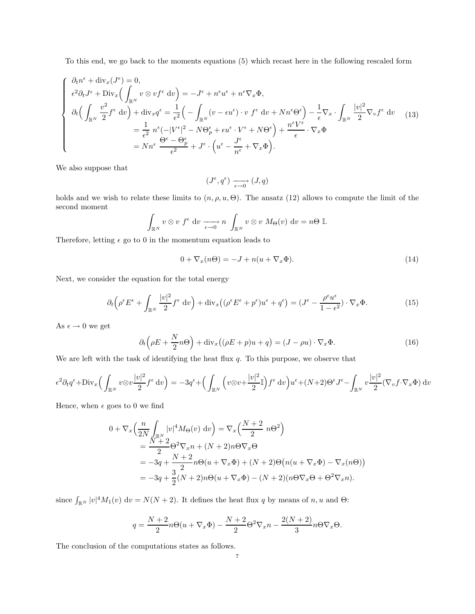To this end, we go back to the moments equations (5) which recast here in the following rescaled form

$$
\begin{cases}\n\partial_t n^{\epsilon} + \operatorname{div}_x (J^{\epsilon}) = 0, \\
\epsilon^2 \partial_t J^{\epsilon} + \operatorname{Div}_x \left( \int_{\mathbb{R}^N} v \otimes v f^{\epsilon} dv \right) = -J^{\epsilon} + n^{\epsilon} u^{\epsilon} + n^{\epsilon} \nabla_x \Phi, \\
\partial_t \left( \int_{\mathbb{R}^N} \frac{v^2}{2} f^{\epsilon} dv \right) + \operatorname{div}_x q^{\epsilon} = \frac{1}{\epsilon^2} \left( - \int_{\mathbb{R}^N} (v - \epsilon u^{\epsilon}) \cdot v f^{\epsilon} dv + N n^{\epsilon} \Theta^{\epsilon} \right) - \frac{1}{\epsilon} \nabla_x \cdot \int_{\mathbb{R}^N} \frac{|v|^2}{2} \nabla_v f^{\epsilon} dv \tag{13} \\
= \frac{1}{\epsilon^2} n^{\epsilon} (-|V^{\epsilon}|^2 - N \Theta_p^{\epsilon} + \epsilon u^{\epsilon} \cdot V^{\epsilon} + N \Theta^{\epsilon} \right) + \frac{n^{\epsilon} V^{\epsilon}}{\epsilon} \cdot \nabla_x \Phi \\
= N n^{\epsilon} \frac{\Theta^{\epsilon} - \Theta_p^{\epsilon}}{\epsilon^2} + J^{\epsilon} \cdot \left( u^{\epsilon} - \frac{J^{\epsilon}}{n^{\epsilon}} + \nabla_x \Phi \right).\n\end{cases}
$$

We also suppose that

$$
(J^{\epsilon}, q^{\epsilon}) \xrightarrow[\epsilon \to 0]{} (J, q)
$$

holds and we wish to relate these limits to  $(n, \rho, u, \Theta)$ . The ansatz (12) allows to compute the limit of the second moment

$$
\int_{\mathbb{R}^N} v \otimes v f^{\epsilon} dv \xrightarrow[\epsilon \to 0]{} n \int_{\mathbb{R}^N} v \otimes v M_{\Theta}(v) dv = n\Theta \mathbb{I}.
$$

Therefore, letting  $\epsilon$  go to 0 in the momentum equation leads to

$$
0 + \nabla_x (n\Theta) = -J + n(u + \nabla_x \Phi). \tag{14}
$$

Next, we consider the equation for the total energy

$$
\partial_t \left( \rho^{\epsilon} E^{\epsilon} + \int_{\mathbb{R}^N} \frac{|v|^2}{2} f^{\epsilon} dv \right) + \text{div}_x \left( (\rho^{\epsilon} E^{\epsilon} + p^{\epsilon}) u^{\epsilon} + q^{\epsilon} \right) = \left( J^{\epsilon} - \frac{\rho^{\epsilon} u^{\epsilon}}{1 - \epsilon^2} \right) \cdot \nabla_x \Phi. \tag{15}
$$

As  $\epsilon \to 0$  we get

$$
\partial_t \left(\rho E + \frac{N}{2} n \Theta\right) + \text{div}_x \left((\rho E + p)u + q\right) = (J - \rho u) \cdot \nabla_x \Phi. \tag{16}
$$

We are left with the task of identifying the heat flux  $q$ . To this purpose, we observe that

$$
\epsilon^2 \partial_t q^{\epsilon} + \text{Div}_x \Big( \int_{\mathbb{R}^N} v \otimes v \frac{|v|^2}{2} f^{\epsilon} dv \Big) = -3q^{\epsilon} + \Big( \int_{\mathbb{R}^N} \Big( v \otimes v + \frac{|v|^2}{2} \mathbb{I} \Big) f^{\epsilon} dv \Big) u^{\epsilon} + (N+2) \Theta^{\epsilon} J^{\epsilon} - \int_{\mathbb{R}^N} v \frac{|v|^2}{2} (\nabla_v f \cdot \nabla_x \Phi) dv
$$

Hence, when  $\epsilon$  goes to 0 we find

$$
0 + \nabla_x \left( \frac{n}{2N} \int_{\mathbb{R}^N} |v|^4 M_{\Theta}(v) dv \right) = \nabla_x \left( \frac{N+2}{2} n \Theta^2 \right)
$$
  
= 
$$
\frac{N+2}{2} \Theta^2 \nabla_x n + (N+2) n \Theta \nabla_x \Theta
$$
  
= 
$$
-3q + \frac{N+2}{2} n \Theta(u + \nabla_x \Phi) + (N+2) \Theta(n(u + \nabla_x \Phi) - \nabla_x(n\Theta))
$$
  
= 
$$
-3q + \frac{3}{2} (N+2) n \Theta(u + \nabla_x \Phi) - (N+2) (n \Theta \nabla_x \Theta + \Theta^2 \nabla_x n).
$$

since  $\int_{\mathbb{R}^N} |v|^4 M_1(v) dv = N(N+2)$ . It defines the heat flux q by means of n, u and  $\Theta$ :

$$
q = \frac{N+2}{2}n\Theta(u+\nabla_x\Phi) - \frac{N+2}{2}\Theta^2\nabla_x n - \frac{2(N+2)}{3}n\Theta\nabla_x\Theta.
$$

The conclusion of the computations states as follows.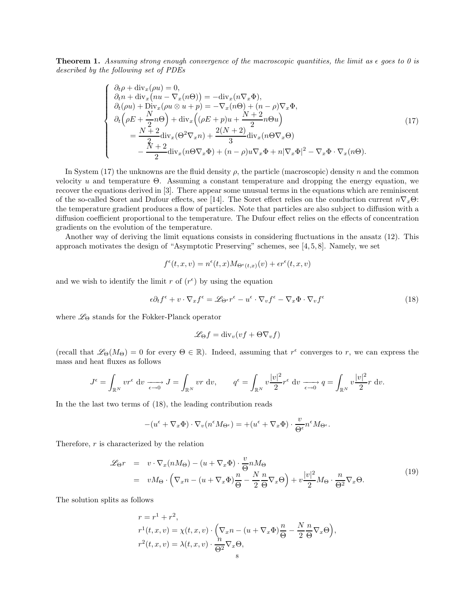**Theorem 1.** Assuming strong enough convergence of the macroscopic quantities, the limit as  $\epsilon$  goes to 0 is described by the following set of PDEs

$$
\begin{cases}\n\partial_t \rho + \text{div}_x(\rho u) = 0, \\
\partial_t n + \text{div}_x(nu - \nabla_x(n\Theta)) = -\text{div}_x(n\nabla_x \Phi), \\
\partial_t(\rho u) + \text{Div}_x(\rho u \otimes u + p) = -\nabla_x(n\Theta) + (n - \rho)\nabla_x \Phi, \\
\partial_t(\rho E + \frac{N}{2}n\Theta) + \text{div}_x((\rho E + p)u + \frac{N+2}{2}n\Theta u) \\
= \frac{N+2}{2} \text{div}_x(\Theta^2 \nabla_x n) + \frac{2(N+2)}{3} \text{div}_x(n\Theta \nabla_x \Theta) \\
- \frac{\tilde{X} + 2}{2} \text{div}_x(n\Theta \nabla_x \Phi) + (n - \rho)u \nabla_x \Phi + n|\nabla_x \Phi|^2 - \nabla_x \Phi \cdot \nabla_x(n\Theta).\n\end{cases}
$$
\n(17)

In System (17) the unknowns are the fluid density  $\rho$ , the particle (macroscopic) density n and the common velocity u and temperature Θ. Assuming a constant temperature and dropping the energy equation, we recover the equations derived in [3]. There appear some unusual terms in the equations which are reminiscent of the so-called Soret and Dufour effects, see [14]. The Soret effect relies on the conduction current  $n\nabla_x\Theta$ : the temperature gradient produces a flow of particles. Note that particles are also subject to diffusion with a diffusion coefficient proportional to the temperature. The Dufour effect relies on the effects of concentration gradients on the evolution of the temperature.

Another way of deriving the limit equations consists in considering fluctuations in the ansatz (12). This approach motivates the design of "Asymptotic Preserving" schemes, see [4, 5, 8]. Namely, we set

$$
f^{\epsilon}(t,x,v) = n^{\epsilon}(t,x)M_{\Theta^{\epsilon}(t,x)}(v) + \epsilon r^{\epsilon}(t,x,v)
$$

and we wish to identify the limit r of  $(r^{\epsilon})$  by using the equation

$$
\epsilon \partial_t f^{\epsilon} + v \cdot \nabla_x f^{\epsilon} = \mathscr{L}_{\Theta^{\epsilon}} r^{\epsilon} - u^{\epsilon} \cdot \nabla_v f^{\epsilon} - \nabla_x \Phi \cdot \nabla_v f^{\epsilon}
$$
\n(18)

where  $\mathcal{L}_{\Theta}$  stands for the Fokker-Planck operator

$$
\mathscr{L}_{\Theta} f = \mathrm{div}_v (v f + \Theta \nabla_v f)
$$

(recall that  $\mathscr{L}_{\Theta}(M_{\Theta}) = 0$  for every  $\Theta \in \mathbb{R}$ ). Indeed, assuming that  $r^{\epsilon}$  converges to r, we can express the mass and heat fluxes as follows

$$
J^{\epsilon} = \int_{\mathbb{R}^N} v r^{\epsilon} dv \xrightarrow[\epsilon \to 0]{} J = \int_{\mathbb{R}^N} v r dv, \qquad q^{\epsilon} = \int_{\mathbb{R}^N} v \frac{|v|^2}{2} r^{\epsilon} dv \xrightarrow[\epsilon \to 0]{} q = \int_{\mathbb{R}^N} v \frac{|v|^2}{2} r dv.
$$

In the the last two terms of (18), the leading contribution reads

$$
-(u^{\epsilon} + \nabla_x \Phi) \cdot \nabla_v (n^{\epsilon} M_{\Theta^{\epsilon}}) = +(u^{\epsilon} + \nabla_x \Phi) \cdot \frac{v}{\Theta^{\epsilon}} n^{\epsilon} M_{\Theta^{\epsilon}}.
$$

Therefore,  $r$  is characterized by the relation

$$
\mathcal{L}_{\Theta}r = v \cdot \nabla_x (nM_{\Theta}) - (u + \nabla_x \Phi) \cdot \frac{v}{\Theta} nM_{\Theta}
$$
  
=  $vM_{\Theta} \cdot (\nabla_x n - (u + \nabla_x \Phi) \frac{n}{\Theta} - \frac{N}{2} \frac{n}{\Theta} \nabla_x \Theta) + v \frac{|v|^2}{2} M_{\Theta} \cdot \frac{n}{\Theta^2} \nabla_x \Theta.$  (19)

The solution splits as follows

$$
r = r1 + r2,
$$
  
\n
$$
r1(t, x, v) = \chi(t, x, v) \cdot \left(\nabla_x n - (u + \nabla_x \Phi)\frac{n}{\Theta} - \frac{N}{2}\frac{n}{\Theta}\nabla_x \Theta\right),
$$
  
\n
$$
r2(t, x, v) = \lambda(t, x, v) \cdot \frac{n}{\Theta^2}\nabla_x \Theta,
$$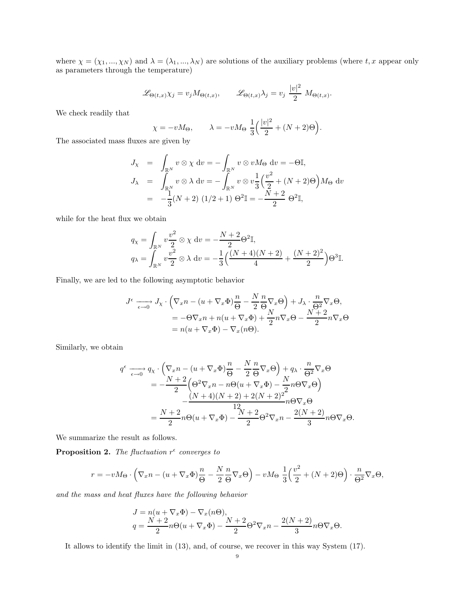where  $\chi = (\chi_1, ..., \chi_N)$  and  $\lambda = (\lambda_1, ..., \lambda_N)$  are solutions of the auxiliary problems (where t, x appear only as parameters through the temperature)

$$
\mathscr{L}_{\Theta(t,x)} \chi_j = v_j M_{\Theta(t,x)}, \qquad \mathscr{L}_{\Theta(t,x)} \lambda_j = v_j \frac{|v|^2}{2} M_{\Theta(t,x)}.
$$

We check readily that

$$
\chi = -vM_{\Theta}, \qquad \lambda = -vM_{\Theta} \frac{1}{3} \left( \frac{|v|^2}{2} + (N+2)\Theta \right).
$$

The associated mass fluxes are given by

$$
J_{\chi} = \int_{\mathbb{R}^N} v \otimes \chi \, dv = -\int_{\mathbb{R}^N} v \otimes v M_{\Theta} \, dv = -\Theta \mathbb{I},
$$
  
\n
$$
J_{\lambda} = \int_{\mathbb{R}^N} v \otimes \lambda \, dv = -\int_{\mathbb{R}^N} v \otimes v \frac{1}{3} \left( \frac{v^2}{2} + (N+2)\Theta \right) M_{\Theta} \, dv
$$
  
\n
$$
= -\frac{1}{3} (N+2) (1/2+1) \Theta^2 \mathbb{I} = -\frac{N+2}{2} \Theta^2 \mathbb{I},
$$

while for the heat flux we obtain

$$
q_{\chi} = \int_{\mathbb{R}^N} v \frac{v^2}{2} \otimes \chi \, dv = -\frac{N+2}{2} \Theta^2 \mathbb{I},
$$
  
\n
$$
q_{\lambda} = \int_{\mathbb{R}^N} v \frac{v^2}{2} \otimes \lambda \, dv = -\frac{1}{3} \left( \frac{(N+4)(N+2)}{4} + \frac{(N+2)^2}{2} \right) \Theta^3 \mathbb{I}.
$$

Finally, we are led to the following asymptotic behavior

$$
J^{\epsilon} \longrightarrow J_{\chi} \cdot \left( \nabla_x n - (u + \nabla_x \Phi) \frac{n}{\Theta} - \frac{N}{2} \frac{n}{\Theta} \nabla_x \Theta \right) + J_{\lambda} \cdot \frac{n}{\Theta^2} \nabla_x \Theta,
$$
  
= -\Theta \nabla\_x n + n(u + \nabla\_x \Phi) + \frac{N}{2} n \nabla\_x \Theta - \frac{N+2}{2} n \nabla\_x \Theta  
= n(u + \nabla\_x \Phi) - \nabla\_x (n\Theta).

Similarly, we obtain

$$
q^{\epsilon} \longrightarrow q_{\chi} \cdot \left( \nabla_x n - (u + \nabla_x \Phi) \frac{n}{\Theta} - \frac{N}{2} \frac{n}{\Theta} \nabla_x \Theta \right) + q_{\lambda} \cdot \frac{n}{\Theta^2} \nabla_x \Theta
$$
  
= 
$$
-\frac{N+2}{2} \left( \Theta^2 \nabla_x n - n \Theta (u + \nabla_x \Phi) - \frac{N}{2} n \Theta \nabla_x \Theta \right)
$$
  

$$
-\frac{(N+4)(N+2) + 2(N+2)^2}{12} n \Theta \nabla_x \Theta
$$
  
= 
$$
\frac{N+2}{2} n \Theta (u + \nabla_x \Phi) - \frac{N+2}{2} \Theta^2 \nabla_x n - \frac{2(N+2)}{3} n \Theta \nabla_x \Theta.
$$

We summarize the result as follows.

**Proposition 2.** The fluctuation  $r^{\epsilon}$  converges to

$$
r = -vM_{\Theta} \cdot \left(\nabla_x n - (u + \nabla_x \Phi)\frac{n}{\Theta} - \frac{N}{2}\frac{n}{\Theta}\nabla_x \Theta\right) - vM_{\Theta}\frac{1}{3}\left(\frac{v^2}{2} + (N+2)\Theta\right) \cdot \frac{n}{\Theta^2}\nabla_x \Theta,
$$

and the mass and heat fluxes have the following behavior

$$
J = n(u + \nabla_x \Phi) - \nabla_x (n\Theta),
$$
  
\n
$$
q = \frac{N+2}{2}n\Theta(u + \nabla_x \Phi) - \frac{N+2}{2}\Theta^2 \nabla_x n - \frac{2(N+2)}{3}n\Theta \nabla_x \Theta.
$$

It allows to identify the limit in (13), and, of course, we recover in this way System (17).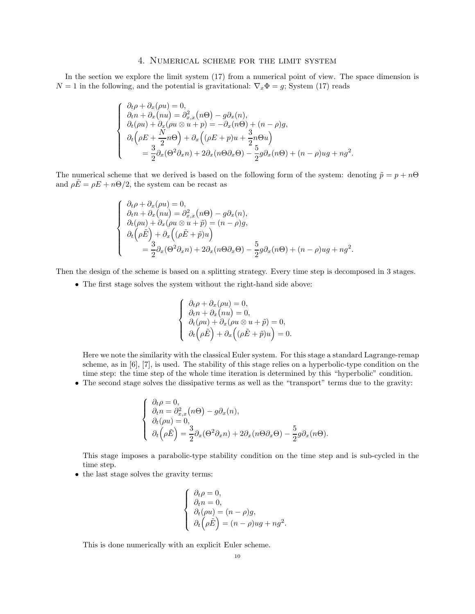## 4. Numerical scheme for the limit system

In the section we explore the limit system (17) from a numerical point of view. The space dimension is  $N = 1$  in the following, and the potential is gravitational:  $\nabla_x \Phi = g$ ; System (17) reads

$$
\begin{cases}\n\partial_t \rho + \partial_x (\rho u) = 0, \\
\partial_t n + \partial_x (nu) = \partial_{x,x}^2 (n\Theta) - g \partial_x (n), \\
\partial_t (\rho u) + \partial_x (\rho u \otimes u + p) = -\partial_x (n\Theta) + (n - \rho)g, \\
\partial_t (\rho E + \frac{N}{2}n\Theta) + \partial_x ((\rho E + p)u + \frac{3}{2}n\Theta u) \\
= \frac{3}{2} \partial_x (\Theta^2 \partial_x n) + 2\partial_x (n\Theta \partial_x \Theta) - \frac{5}{2}g \partial_x (n\Theta) + (n - \rho)ug + ng^2.\n\end{cases}
$$

The numerical scheme that we derived is based on the following form of the system: denoting  $\tilde{p} = p + n\Theta$ and  $\rho \vec{E} = \rho E + n\Theta/2$ , the system can be recast as

$$
\begin{cases}\n\partial_t \rho + \partial_x (\rho u) = 0, \\
\partial_t n + \partial_x (nu) = \partial_{x,x}^2 (n\Theta) - g \partial_x (n), \\
\partial_t (\rho u) + \partial_x (\rho u \otimes u + \tilde{p}) = (n - \rho)g, \\
\partial_t (\rho \tilde{E}) + \partial_x ((\rho \tilde{E} + \tilde{p})u) \\
= \frac{3}{2} \partial_x (\Theta^2 \partial_x n) + 2 \partial_x (n\Theta \partial_x \Theta) - \frac{5}{2} g \partial_x (n\Theta) + (n - \rho)ug + ng^2.\n\end{cases}
$$

Then the design of the scheme is based on a splitting strategy. Every time step is decomposed in 3 stages.

• The first stage solves the system without the right-hand side above:

$$
\begin{cases}\n\partial_t \rho + \partial_x (\rho u) = 0, \\
\partial_t n + \partial_x (nu) = 0, \\
\partial_t (\rho u) + \partial_x (\rho u \otimes u + \tilde{p}) = 0, \\
\partial_t (\rho \tilde{E}) + \partial_x ((\rho \tilde{E} + \tilde{p})u) = 0.\n\end{cases}
$$

Here we note the similarity with the classical Euler system. For this stage a standard Lagrange-remap scheme, as in [6], [7], is used. The stability of this stage relies on a hyperbolic-type condition on the time step: the time step of the whole time iteration is determined by this "hyperbolic" condition.

• The second stage solves the dissipative terms as well as the "transport" terms due to the gravity:

$$
\begin{cases}\n\partial_t \rho = 0, \\
\partial_t n = \partial_{x,x}^2(n\Theta) - g\partial_x(n), \\
\partial_t (\rho u) = 0, \\
\partial_t (\rho \tilde{E}) = \frac{3}{2}\partial_x(\Theta^2 \partial_x n) + 2\partial_x(n\Theta \partial_x \Theta) - \frac{5}{2}g\partial_x(n\Theta).\n\end{cases}
$$

This stage imposes a parabolic-type stability condition on the time step and is sub-cycled in the time step.

• the last stage solves the gravity terms:

$$
\begin{cases}\n\partial_t \rho = 0, \\
\partial_t n = 0, \\
\partial_t (\rho u) = (n - \rho)g, \\
\partial_t (\rho \tilde{E}) = (n - \rho)ug + ng^2.\n\end{cases}
$$

This is done numerically with an explicit Euler scheme.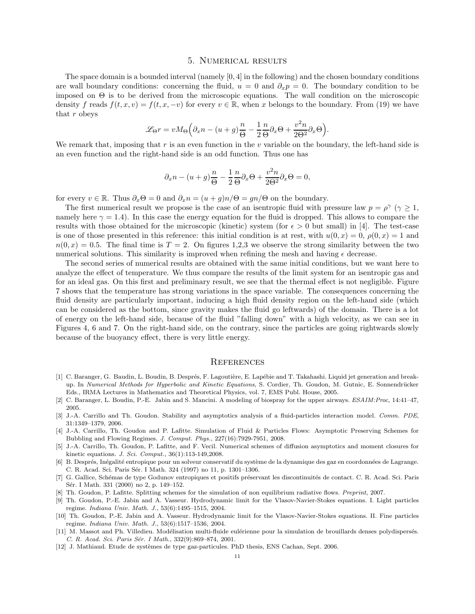#### 5. Numerical results

The space domain is a bounded interval (namely [0, 4] in the following) and the chosen boundary conditions are wall boundary conditions: concerning the fluid,  $u = 0$  and  $\partial_x p = 0$ . The boundary condition to be imposed on  $\Theta$  is to be derived from the microscopic equations. The wall condition on the microscopic density f reads  $f(t, x, v) = f(t, x, -v)$  for every  $v \in \mathbb{R}$ , when x belongs to the boundary. From (19) we have that r obeys

$$
\mathcal{L}_{\Theta}r = vM_{\Theta}\Big(\partial_x n - (u+g)\frac{n}{\Theta} - \frac{1}{2}\frac{n}{\Theta}\partial_x \Theta + \frac{v^2n}{2\Theta^2}\partial_x \Theta\Big).
$$

We remark that, imposing that r is an even function in the v variable on the boundary, the left-hand side is an even function and the right-hand side is an odd function. Thus one has

$$
\partial_x n - (u+g)\frac{n}{\Theta} - \frac{1}{2}\frac{n}{\Theta}\partial_x \Theta + \frac{v^2 n}{2\Theta^2}\partial_x \Theta = 0,
$$

for every  $v \in \mathbb{R}$ . Thus  $\partial_x \Theta = 0$  and  $\partial_x n = (u + g)n/\Theta = gn/\Theta$  on the boundary.

The first numerical result we propose is the case of an isentropic fluid with pressure law  $p = \rho^{\gamma}$  ( $\gamma \ge 1$ , namely here  $\gamma = 1.4$ ). In this case the energy equation for the fluid is dropped. This allows to compare the results with those obtained for the microscopic (kinetic) system (for  $\epsilon > 0$  but small) in [4]. The test-case is one of those presented in this reference: this initial condition is at rest, with  $u(0, x) = 0$ ,  $\rho(0, x) = 1$  and  $n(0, x) = 0.5$ . The final time is  $T = 2$ . On figures 1,2,3 we observe the strong similarity between the two numerical solutions. This similarity is improved when refining the mesh and having  $\epsilon$  decrease.

The second series of numerical results are obtained with the same initial conditions, but we want here to analyze the effect of temperature. We thus compare the results of the limit system for an isentropic gas and for an ideal gas. On this first and preliminary result, we see that the thermal effect is not negligible. Figure 7 shows that the temperature has strong variations in the space variable. The consequences concerning the fluid density are particularly important, inducing a high fluid density region on the left-hand side (which can be considered as the bottom, since gravity makes the fluid go leftwards) of the domain. There is a lot of energy on the left-hand side, because of the fluid "falling down" with a high velocity, as we can see in Figures 4, 6 and 7. On the right-hand side, on the contrary, since the particles are going rightwards slowly because of the buoyancy effect, there is very little energy.

#### **REFERENCES**

- [1] C. Baranger, G. Baudin, L. Boudin, B. Després, F. Lagoutière, E. Lapébie and T. Takahashi. Liquid jet generation and breakup. In Numerical Methods for Hyperbolic and Kinetic Equations, S. Cordier, Th. Goudon, M. Gutnic, E. Sonnendrücker Eds., IRMA Lectures in Mathematics and Theoretical Physics, vol. 7, EMS Publ. House, 2005.
- [2] C. Baranger, L. Boudin, P.-E. Jabin and S. Mancini. A modeling of biospray for the upper airways. ESAIM:Proc, 14:41–47, 2005.
- [3] J.-A. Carrillo and Th. Goudon. Stability and asymptotics analysis of a fluid-particles interaction model. Comm. PDE, 31:1349–1379, 2006.
- [4] J.-A. Carrillo, Th. Goudon and P. Lafitte. Simulation of Fluid & Particles Flows: Asymptotic Preserving Schemes for Bubbling and Flowing Regimes. J. Comput. Phys., 227(16):7929-7951, 2008.
- [5] J.-A. Carrillo, Th. Goudon, P. Lafitte, and F. Vecil. Numerical schemes of diffusion asymptotics and moment closures for kinetic equations. J. Sci. Comput., 36(1):113-149,2008.
- [6] B. Després, Inégalité entropique pour un solveur conservatif du système de la dynamique des gaz en coordonnées de Lagrange. C. R. Acad. Sci. Paris Sér. I Math. 324 (1997) no 11, p. 1301-1306.
- [7] G. Gallice, Schémas de type Godunov entropiques et positifs préservant les discontinuités de contact. C. R. Acad. Sci. Paris Sér. I Math. 331 (2000) no 2, p. 149-152.
- [8] Th. Goudon, P. Lafitte. Splitting schemes for the simulation of non equilibrium radiative flows. Preprint, 2007.
- [9] Th. Goudon, P.-E. Jabin and A. Vasseur. Hydrodynamic limit for the Vlasov-Navier-Stokes equations. I. Light particles regime. Indiana Univ. Math. J., 53(6):1495–1515, 2004.
- [10] Th. Goudon, P.-E. Jabin and A. Vasseur. Hydrodynamic limit for the Vlasov-Navier-Stokes equations. II. Fine particles regime. Indiana Univ. Math. J., 53(6):1517–1536, 2004.
- [11] M. Massot and Ph. Villedieu. Modélisation multi-fluide eulérienne pour la simulation de brouillards denses polydispersés. C. R. Acad. Sci. Paris Sér. I Math., 332(9):869-874, 2001.
- [12] J. Mathiaud. Etude de systèmes de type gaz-particules. PhD thesis, ENS Cachan, Sept. 2006.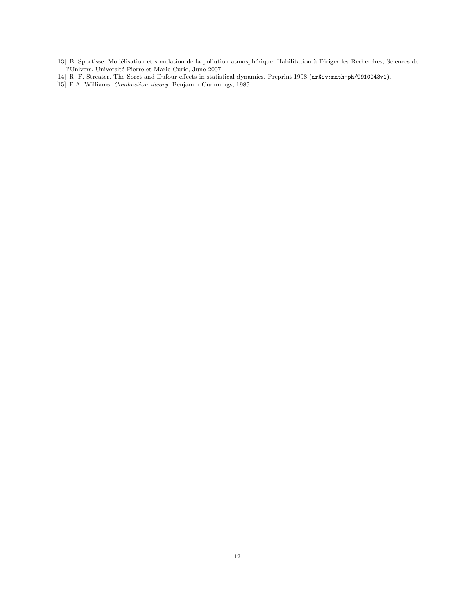- [13] B. Sportisse. Modélisation et simulation de la pollution atmosphérique. Habilitation à Diriger les Recherches, Sciences de l'Univers, Université Pierre et Marie Curie, June 2007.
- [14] R. F. Streater. The Soret and Dufour effects in statistical dynamics. Preprint 1998 (arXiv:math-ph/9910043v1).
- [15] F.A. Williams. Combustion theory. Benjamin Cummings, 1985.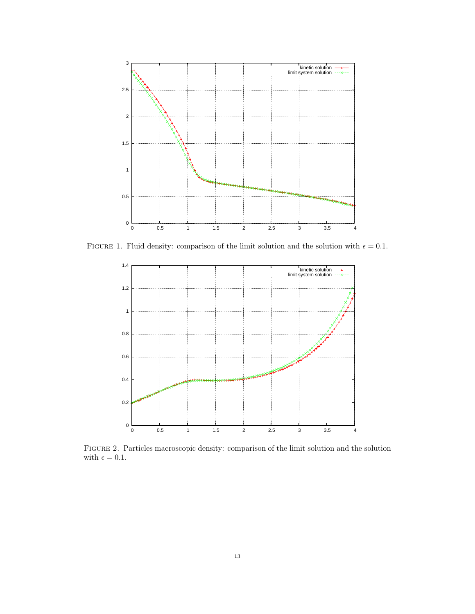

FIGURE 1. Fluid density: comparison of the limit solution and the solution with  $\epsilon = 0.1$ .



Figure 2. Particles macroscopic density: comparison of the limit solution and the solution with  $\epsilon = 0.1$ .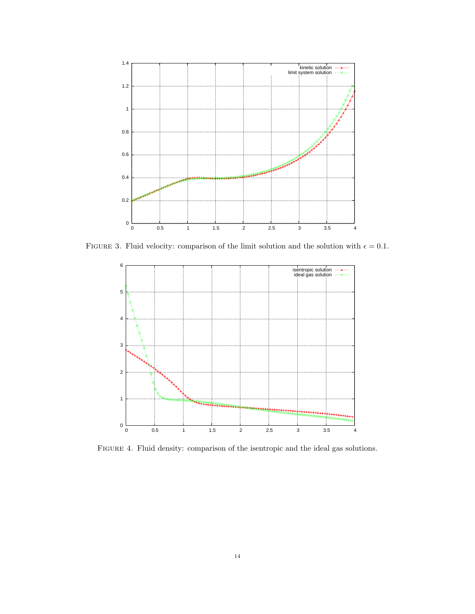

FIGURE 3. Fluid velocity: comparison of the limit solution and the solution with  $\epsilon = 0.1$ .



Figure 4. Fluid density: comparison of the isentropic and the ideal gas solutions.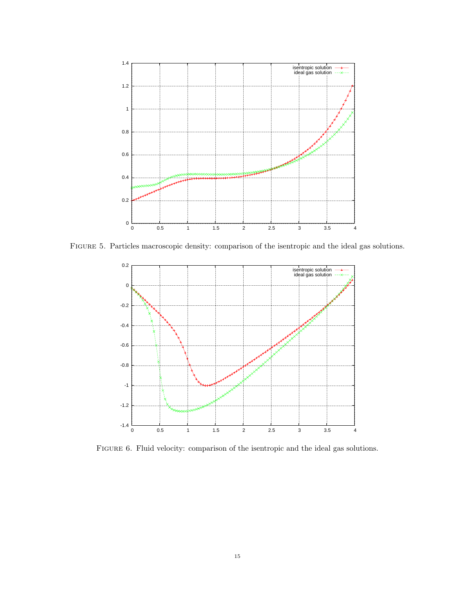

Figure 5. Particles macroscopic density: comparison of the isentropic and the ideal gas solutions.



Figure 6. Fluid velocity: comparison of the isentropic and the ideal gas solutions.